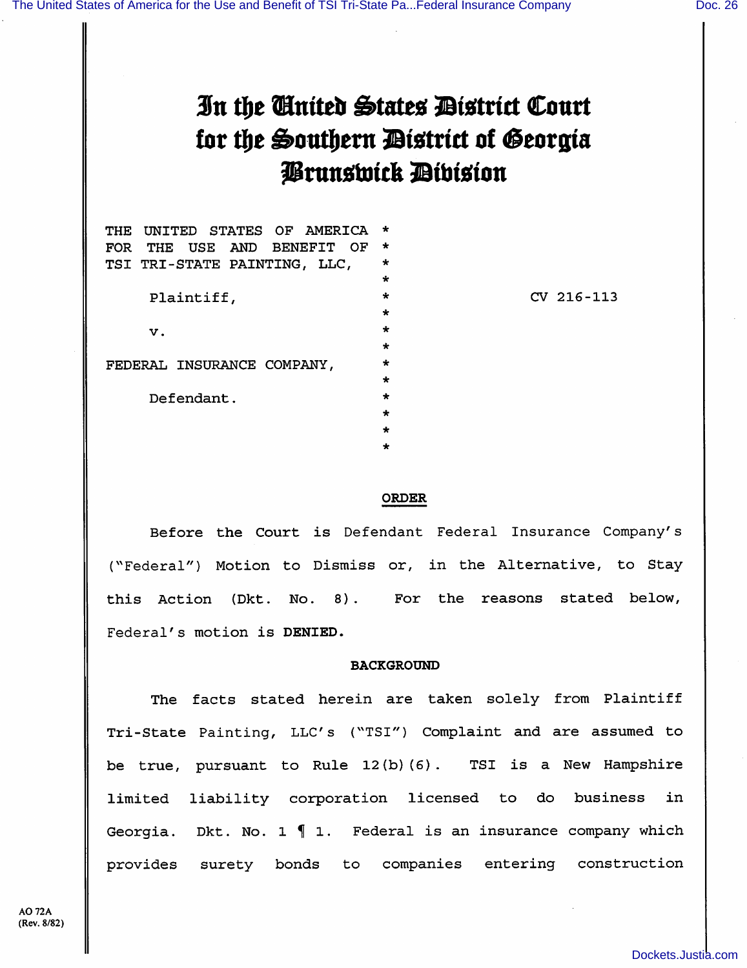# In the Ginited States District Court tor the Southern District of Georgia Prunswick Dibision

| UNITED STATES OF AMERICA<br>THE  | $\star$ |
|----------------------------------|---------|
| THE USE AND BENEFIT<br>OF<br>FOR | $\star$ |
| TSI TRI-STATE PAINTING, LLC,     | $\star$ |
|                                  | $\star$ |
| Plaintiff,                       | $\star$ |
|                                  | $\star$ |
| v.                               | $\star$ |
|                                  | $\star$ |
| FEDERAL INSURANCE COMPANY,       | $\star$ |
|                                  | $\star$ |
| Defendant.                       | $\star$ |
|                                  | ÷       |
|                                  |         |
|                                  |         |

CV 216-113

## ORDER

Before the Court is Defendant Federal Insurance Company's (^'Federal") Motion to Dismiss or, in the Alternative, to Stay this Action (Dkt. No. 8). For the reasons stated below. Federal's motion is DENIED.

# BACKGROUND

The facts stated herein are taken solely from Plaintiff Tri-State Painting, LLC's ("TSI") Complaint and are assumed to be true, pursuant to Rule 12(b)(6). TSI is a New Hampshire limited liability corporation licensed to do business in Georgia. Dkt. No. 1  $\P$  1. Federal is an insurance company which provides surety bonds to companies entering construction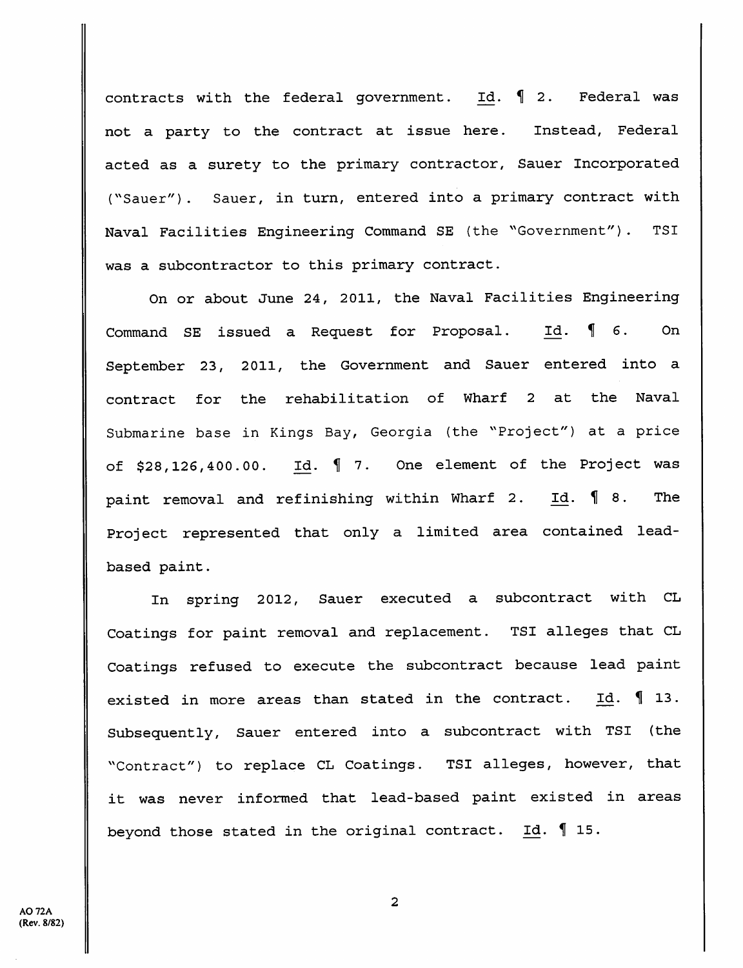contracts with the federal government. Id.  $\int$  2. Federal was not a party to the contract at issue here. Instead, Federal acted as a surety to the primary contractor, Sauer Incorporated ("Sauer"). Sauer, in turn, entered into a primary contract with Naval Facilities Engineering Command SE (the "Government") . TSI was a subcontractor to this primary contract.

On or about June 24, 2011, the Naval Facilities Engineering Command SE issued a Request for Proposal. Id.  $\llbracket$  6. On September 23, 2011, the Government and Sauer entered into a contract for the rehabilitation of Wharf 2 at the Naval Submarine base in Kings Bay, Georgia (the '"Project") at a price of  $$28,126,400.00$ . Id.  $\llbracket$  7. One element of the Project was paint removal and refinishing within Wharf 2. Id.  $\llbracket$  8. The Project represented that only a limited area contained leadbased paint.

In spring 2012, Sauer executed a subcontract with CL Coatings for paint removal and replacement. TSI alleges that CL Coatings refused to execute the subcontract because lead paint existed in more areas than stated in the contract. Id.  $\P$  13. Subsequently, Sauer entered into a subcontract with TSI (the "Contract") to replace CL Coatings. TSI alleges, however, that it was never informed that lead-based paint existed in areas beyond those stated in the original contract.  $Id. \S$  15.

 $\overline{2}$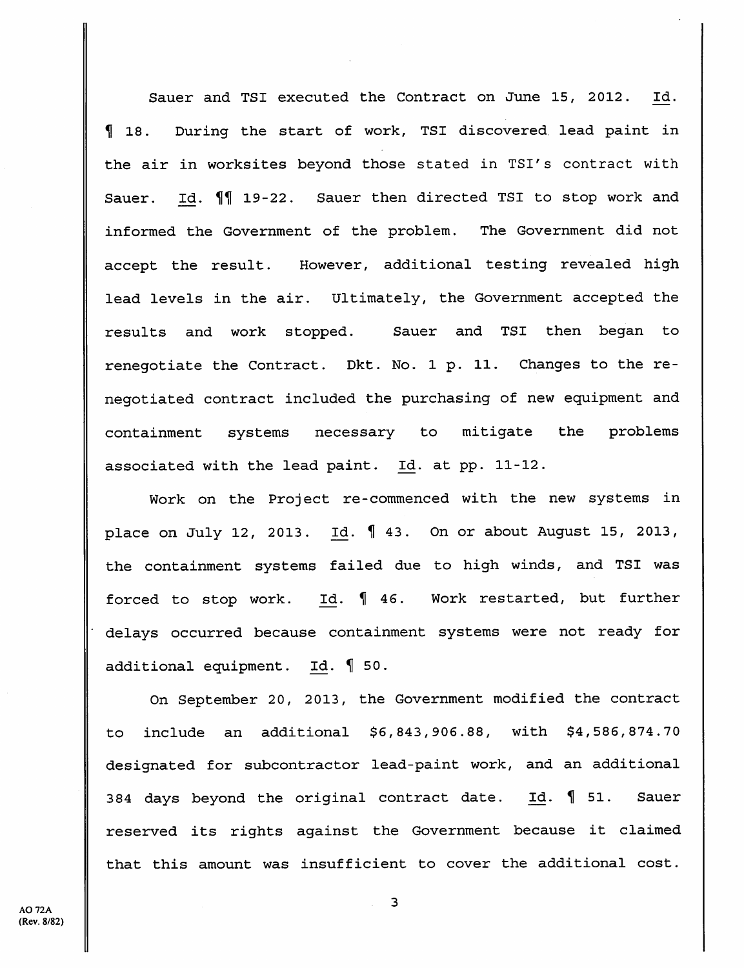Sauer and TSI executed the Contract on June 15, 2012. Id. H 18. During the start of work, TSI discovered lead paint in the air in worksites beyond those stated in TSI's contract with Sauer. Id.  $\P$  19-22. Sauer then directed TSI to stop work and informed the Government of the problem. The Government did not accept the result. However, additional testing revealed high lead levels in the air. Ultimately, the Government accepted the results and work stopped. Sauer and TSI then began to renegotiate the Contract. Dkt. No. 1 p. 11. Changes to the re negotiated contract included the purchasing of new equipment and containment systems necessary to mitigate the problems associated with the lead paint. Id. at pp. 11-12.

Work on the Project re-commenced with the new systems in place on July 12, 2013. Id. H 43. On or about August 15, 2013, the containment systems failed due to high winds, and TSI was forced to stop work. Id.  $\int 46$ . Work restarted, but further delays occurred because containment systems were not ready for additional equipment. Id.  $\oint$  50.

On September 20, 2013, the Government modified the contract to include an additional \$6,843,906.88, with \$4,586,874.70 designated for subcontractor lead-paint work, and an additional 384 days beyond the original contract date. Id.  $\oint$  51. Sauer reserved its rights against the Government because it claimed that this amount was insufficient to cover the additional cost.

 $\overline{\mathbf{3}}$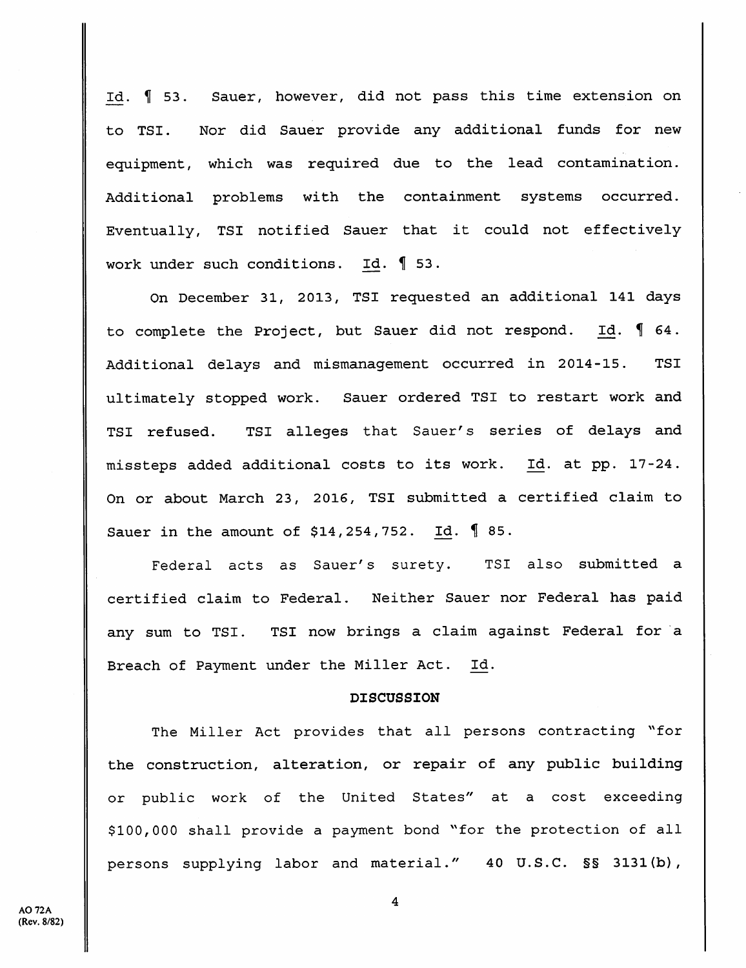Id. H 53. Sauer, however, did not pass this time extension on to TSI. Nor did Sauer provide any additional funds for new equipment, which was required due to the lead contamination. Additional problems with the containment systems occurred. Eventually, TSI notified Sauer that it could not effectively work under such conditions. Id.  $\llbracket$  53.

On December 31, 2013, TSI requested an additional 141 days to complete the Project, but Sauer did not respond. Id.  $\llbracket$  64. Additional delays and mismanagement occurred in 2014-15. TSI ultimately stopped work. Sauer ordered TSI to restart work and TSI refused. TSI alleges that Sauer's series of delays and missteps added additional costs to its work. Id. at pp. 17-24. On or about March 23, 2016, TSI submitted a certified claim to Sauer in the amount of  $$14,254,752$ . Id.  $$85$ .

Federal acts as Sauer's surety. TSI also submitted a certified claim to Federal. Neither Sauer nor Federal has paid any sum to TSI. TSI now brings a claim against Federal for a Breach of Payment under the Miller Act. Id.

#### **DISCUSSION**

The Miller Act provides that all persons contracting "for the construction, alteration, or repair of any public building or public work of the United States" at a cost exceeding \$100,000 shall provide a payment bond "for the protection of all persons supplying labor and material." 40 U.S.C. §§ 3131(b),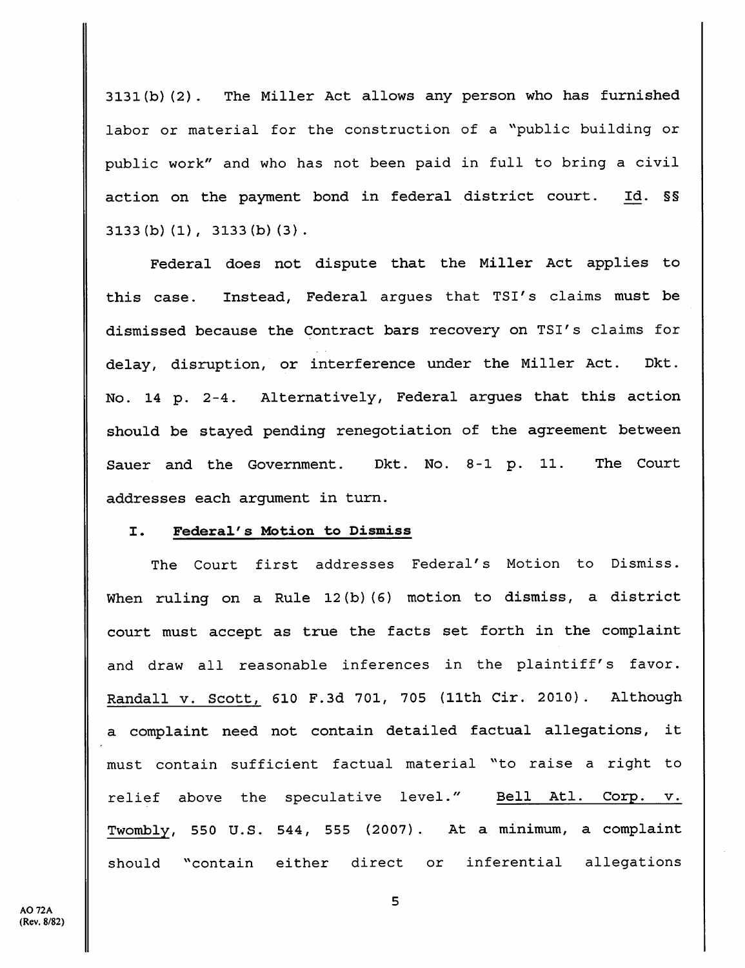3131(b)(2). The Miller Act allows any person who has furnished labor or material for the construction of a "public building or public work" and who has not been paid in full to bring a civil action on the payment bond in federal district court. Id. §§ 3133(b)(1), 3133(b)(3).

Federal does not dispute that the Miller Act applies to this case. Instead, Federal argues that TSI's claims must be dismissed because the Contract bars recovery on TSI's claims for delay, disruption, or interference under the Miller Act. Dkt. No. 14 p. 2-4. Alternatively, Federal argues that this action should be stayed pending renegotiation of the agreement between Sauer and the Government. Dkt. No. 8-1 p. 11. The Court addresses each argument in turn.

### I. Federal's Motion to Dismiss

The Court first addresses Federal's Motion to Dismiss. When ruling on a Rule 12(b)(6) motion to dismiss, a district court must accept as true the facts set forth in the complaint and draw all reasonable inferences in the plaintiff's favor. Randall v. Scott, 610 F.3d 701, 705 (11th Cir. 2010). Although a complaint need not contain detailed factual allegations, it must contain sufficient factual material ^'to raise a right to relief above the speculative level." Bell Atl. Corp. v. Twombly, 550 U.S. 544, 555 (2007) . At a minimum, a complaint should ''contain either direct or inferential allegations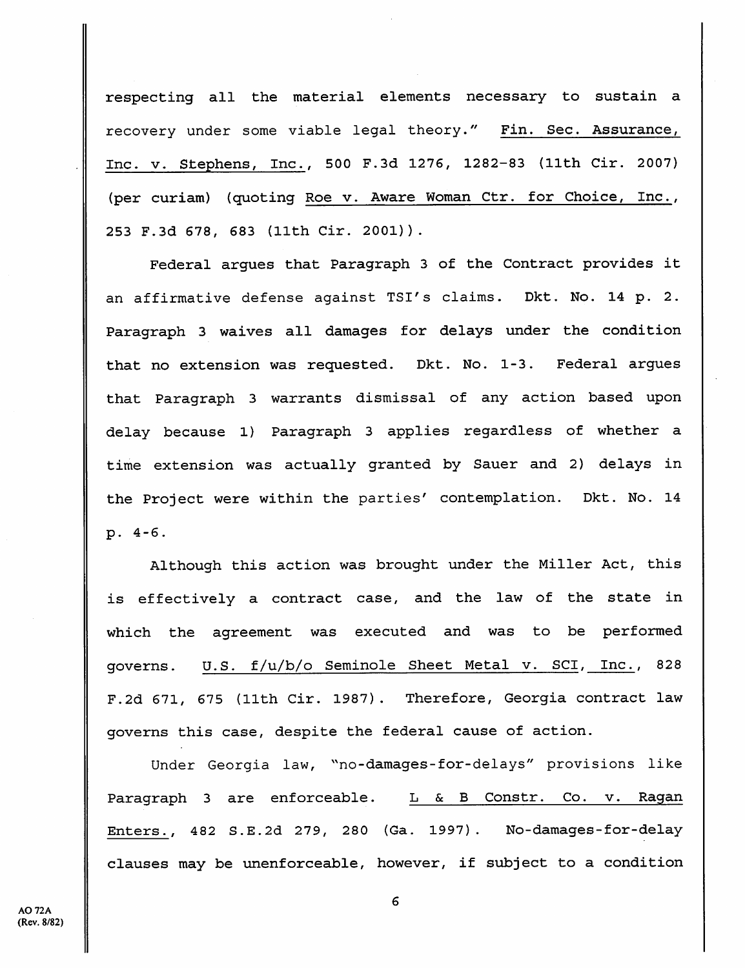respecting all the material elements necessary to sustain a recovery under some viable legal theory." Fin. Sec. Assurance, Inc. V. Stephens, Inc., 500 F.3d 1276, 1282-83 (11th Cir. 2007) (per curiam) (quoting Roe v. Aware Woman Ctr. for Choice, Inc., 253 F.3d 678, 683 (11th Cir. 2001)).

Federal argues that Paragraph 3 of the Contract provides it an affirmative defense against TSI's claims. Dkt. No. 14 p. 2. Paragraph 3 waives all damages for delays under the condition that no extension was requested. Dkt. No. 1-3. Federal argues that Paragraph 3 warrants dismissal of any action based upon delay because 1) Paragraph 3 applies regardless of whether a time extension was actually granted by Sauer and 2) delays in the Project were within the parties' contemplation. Dkt. No. 14 p. 4-6.

Although this action was brought under the Miller Act, this is effectively a contract case, and the law of the state in which the agreement was executed and was to be performed governs. U.S. f/u/b/o Seminole Sheet Metal v. SCI, Inc., 828 F.2d 671, 675 (11th Cir. 1987). Therefore, Georgia contract law governs this case, despite the federal cause of action.

Under Georgia law, "no-damages-for-delays" provisions like Paragraph 3 are enforceable. L & B Constr. Co. v. Ragan Enters., 482 S.E.2d 279, 280 (Ga. 1997) . No-damages-for-delay clauses may be unenforceable, however, if subject to a condition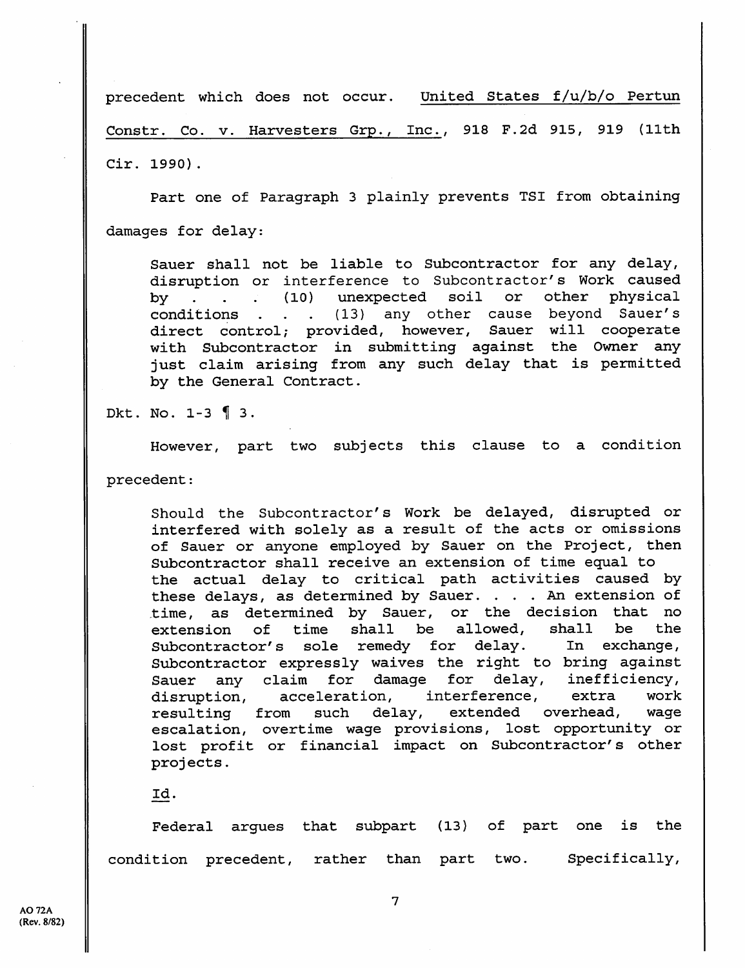precedent which does not occur. United States f/u/b/o Pertun Constr. Co. v. Harvesters Grp., Inc., 918 F.2d 915, 919 (11th Cir. 1990).

Part one of Paragraph 3 plainly prevents TSI from obtaining damages for delay:

Sauer shall not be liable to Subcontractor for any delay, disruption or interference to Subcontractor's Work caused by . . . (10) unexpected soil or other physical conditions . . . (13) any other cause beyond Sauer's (13) any other cause beyond Sauer's<br>vided, however, Sauer will cooperate direct control; provided, however, with Subcontractor in submitting against the Owner any just claim arising from any such delay that is permitted by the General Contract.

Dkt. No.  $1-3$  13.

However, part two subjects this clause to a condition

precedent:

Should the Subcontractor's Work be delayed, disrupted or interfered with solely as a result of the acts or omissions of Sauer or anyone employed by Sauer on the Project, then Subcontractor shall receive an extension of time equal to the actual delay to critical path activities caused by these delays, as determined by Sauer. . . . An extension of time, as determined by Sauer, or the decision that no extension of time shall be allowed, shall be the Subcontractor's sole remedy for delay. In exchange. Subcontractor expressly waives the right to bring against<br>Sauer any claim for damage for delay, inefficiency, Sauer any claim for damage for delay, disruption, acceleration, interference, extra work resulting from such delay, extended overhead, wage escalation, overtime wage provisions, lost opportunity or lost profit or financial impact on Subcontractor's other projects.

Id.

Federal argues that subpart (13) of part one is the condition precedent, rather than part two. Specifically,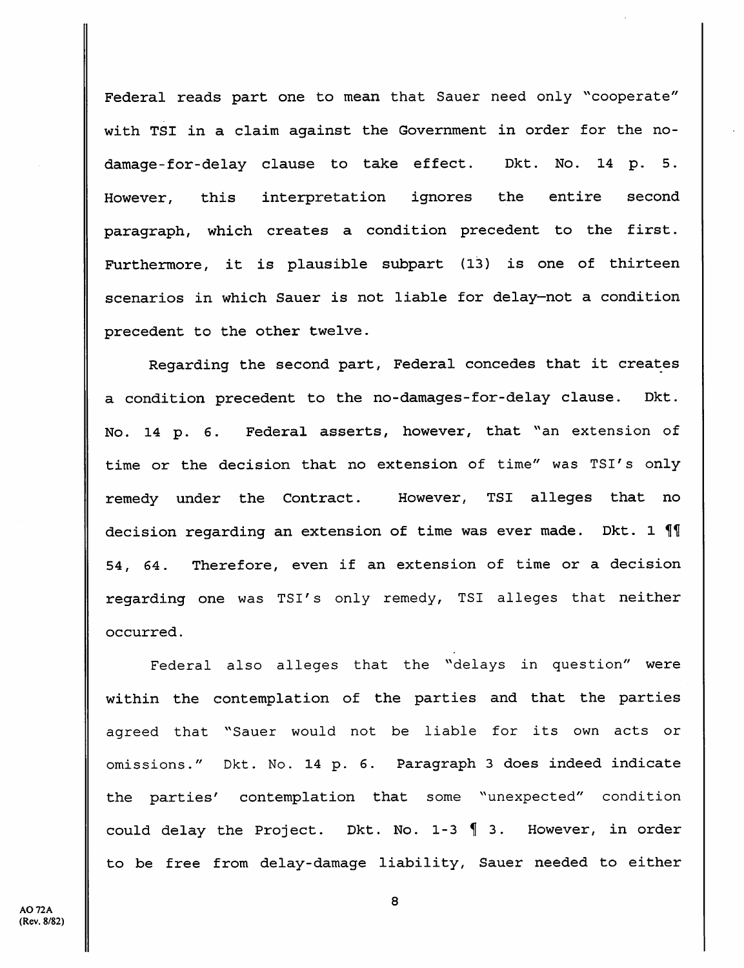Federal reads part one to mean that Sauer need only "cooperate" with TSI in a claim against the Government in order for the nodamage-for-delay clause to take effect. Dkt. No. 14 p. 5. However, this interpretation ignores the entire second paragraph, which creates a condition precedent to the first. Furthermore, it is plausible subpart (13) is one of thirteen scenarios in which Sauer is not liable for delay—not a condition precedent to the other twelve.

Regarding the second part. Federal concedes that it creates a condition precedent to the no-damages-for-delay clause. Dkt. No. 14 p. 6. Federal asserts, however, that "an extension of time or the decision that no extension of time" was TSI's only remedy under the Contract. However, TSI alleges that no decision regarding an extension of time was ever made. Dkt. 1 1 54, 64. Therefore, even if an extension of time or a decision regarding one was TSI's only remedy, TSI alleges that neither occurred.

Federal also alleges that the "delays in question" were within the contemplation of the parties and that the parties agreed that "Sauer would not be liable for its own acts or omissions." Dkt. No. 14 p. 6. Paragraph 3 does indeed indicate the parties' contemplation that some "unexpected" condition could delay the Project. Dkt. No.  $1-3$   $\parallel$  3. However, in order to be free from delay-damage liability, Sauer needed to either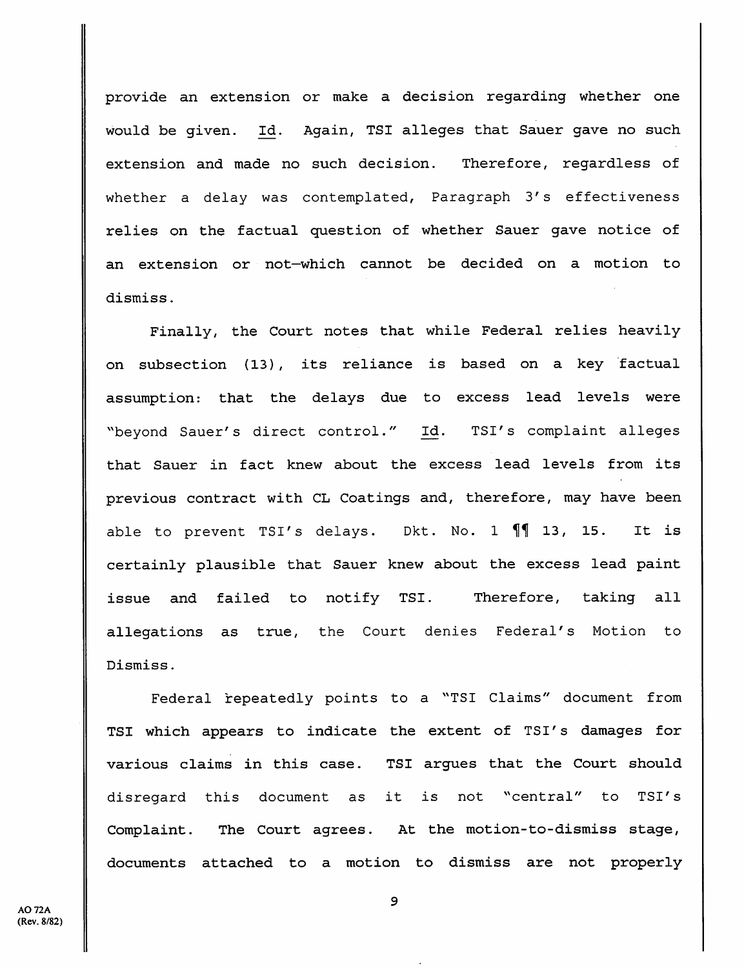provide an extension or make a decision regarding whether one would be given. Id. Again, TSI alleges that Sauer gave no such extension and made no such decision. Therefore, regardless of whether a delay was contemplated, Paragraph 3's effectiveness relies on the factual question of whether Sauer gave notice of an extension or not—which cannot be decided on a motion to dismiss.

Finally, the Court notes that while Federal relies heavily on subsection (13), its reliance is based on a key factual assumption: that the delays due to excess lead levels were "beyond Sauer's direct control." Id. TSI's complaint alleges that Sauer in fact knew about the excess lead levels from its previous contract with CL Coatings and, therefore, may have been able to prevent TSI's delays. Dkt. No. 1  $\P$  $\parallel$  13, 15. It is certainly plausible that Sauer knew about the excess lead paint issue and failed to notify TSI. Therefore, taking all allegations as true, the Court denies Federal's Motion to Dismiss.

Federal repeatedly points to a "TSI Claims" document from TSI which appears to indicate the extent of TSI's damages for various claims in this case. TSI argues that the Court should disregard this document as it is not "central" to TSI's Complaint. The Court agrees. At the motion-to-dismiss stage, documents attached to a motion to dismiss are not properly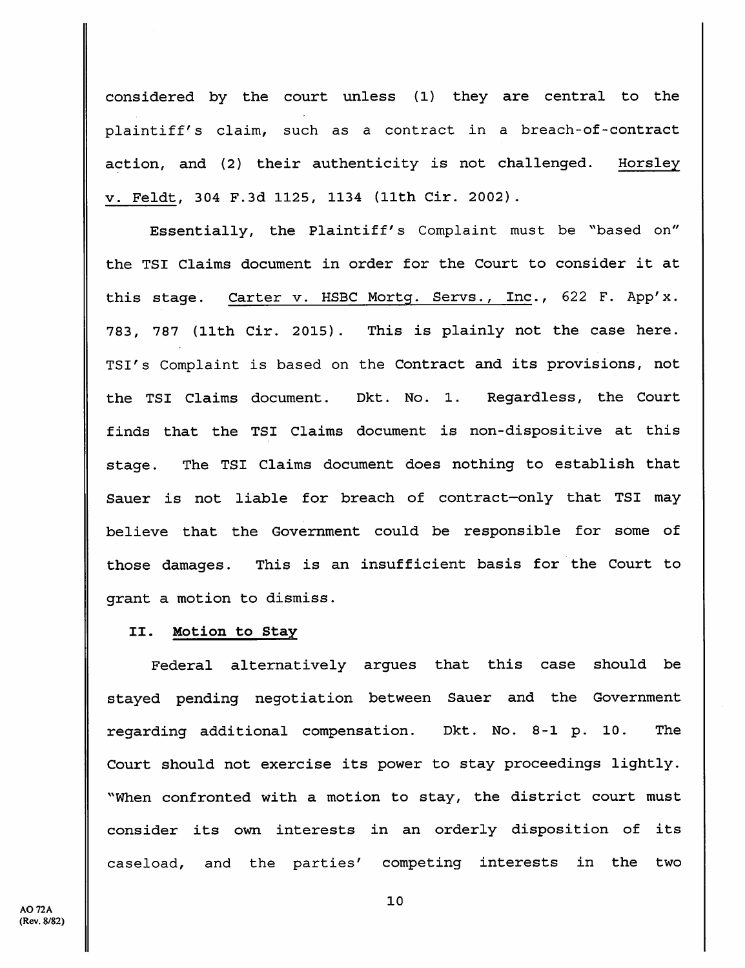considered by the court unless (1) they are central to the plaintiff's claim, such as a contract in a breach-of-contract action, and (2) their authenticity is not challenged. Horsley V. Feldt, 304 F.3d 1125, 1134 (11th Cir. 2002).

Essentially, the Plaintiff's Complaint must be "based on" the TSI Claims document in order for the Court to consider it at this stage. Carter v. HSBC Mortg. Servs., Inc., 622 F. App'x. 783, 787 (11th Cir. 2015) . This is plainly not the case here. TSI's Complaint is based on the Contract and its provisions, not the TSI Claims document. Dkt. No. 1. Regardless, the Court finds that the TSI Claims document is non-dispositive at this stage. The TSI Claims document does nothing to establish that Sauer is not liable for breach of contract—only that TSI may believe that the Government could be responsible for some of those damages. This is an insufficient basis for the Court to grant a motion to dismiss.

#### II. Motion to Stay

Federal alternatively argues that this case should be stayed pending negotiation between Sauer and the Government regarding additional compensation. Dkt. No. 8-1 p. 10. The Court should not exercise its power to stay proceedings lightly. ^^When confronted with a motion to stay, the district court must consider its own interests in an orderly disposition of its caseload, and the parties' competing interests in the two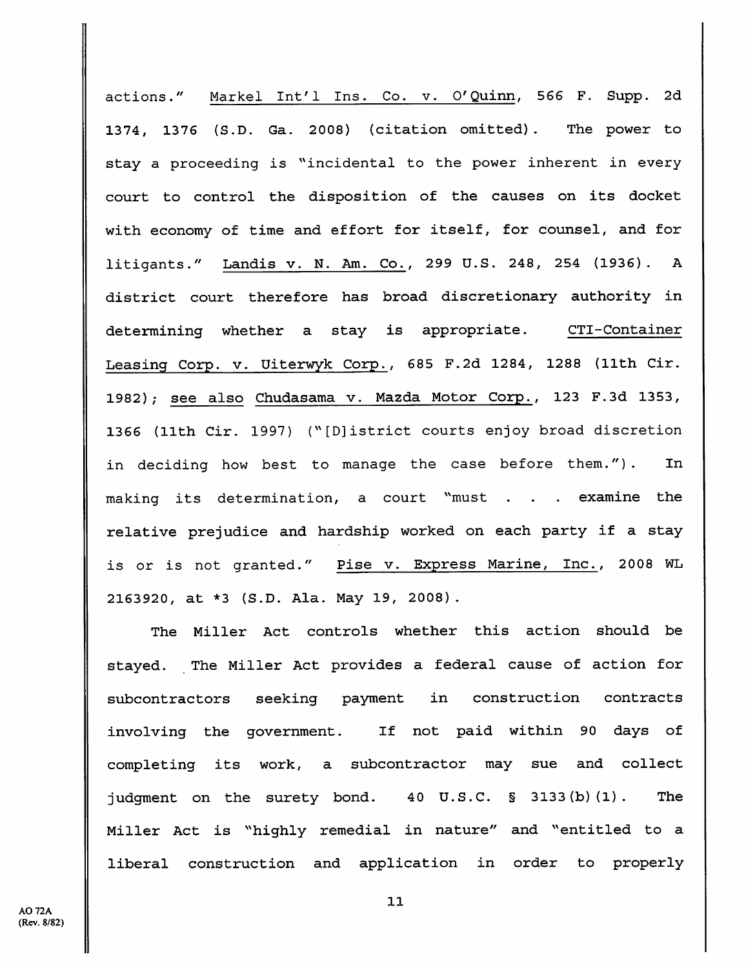actions." Markel Int'l Ins. Co. v. O'Quinn, 566 F. Supp. 2d 1374, 1376 {S.D. Ga. 2008) (citation omitted). The power to stay a proceeding is "incidental to the power inherent in every court to control the disposition of the causes on its docket with economy of time and effort for itself, for counsel, and for litigants." Landis v. N. Am. Co., 299 U.S. 248, 254 (1936). A district court therefore has broad discretionary authority in determining whether a stay is appropriate. CTI-Container Leasing Corp. v. Uiterwyk Corp., 685 F.2d 1284, 1288 (11th Cir. 1982); see also Chudasama v. Mazda Motor Corp., 123 F.3d 1353, 1366 (11th Cir. 1997) ("[D]istrict courts enjoy broad discretion in deciding how best to manage the case before them."). In making its determination, a court "must . . . examine the relative prejudice and hardship worked on each party if a stay is or is not granted." Pise v. Express Marine, Inc., 2008 WL 2163920, at \*3 (S.D. Ala. May 19, 2008).

The Miller Act controls whether this action should be stayed. The Miller Act provides a federal cause of action for subcontractors seeking payment in construction contracts involving the government. If not paid within 90 days of completing its work, a subcontractor may sue and collect judgment on the surety bond. 40 U.S.C. § 3133(b)(1). The Miller Act is "highly remedial in nature" and "entitled to a liberal construction and application in order to properly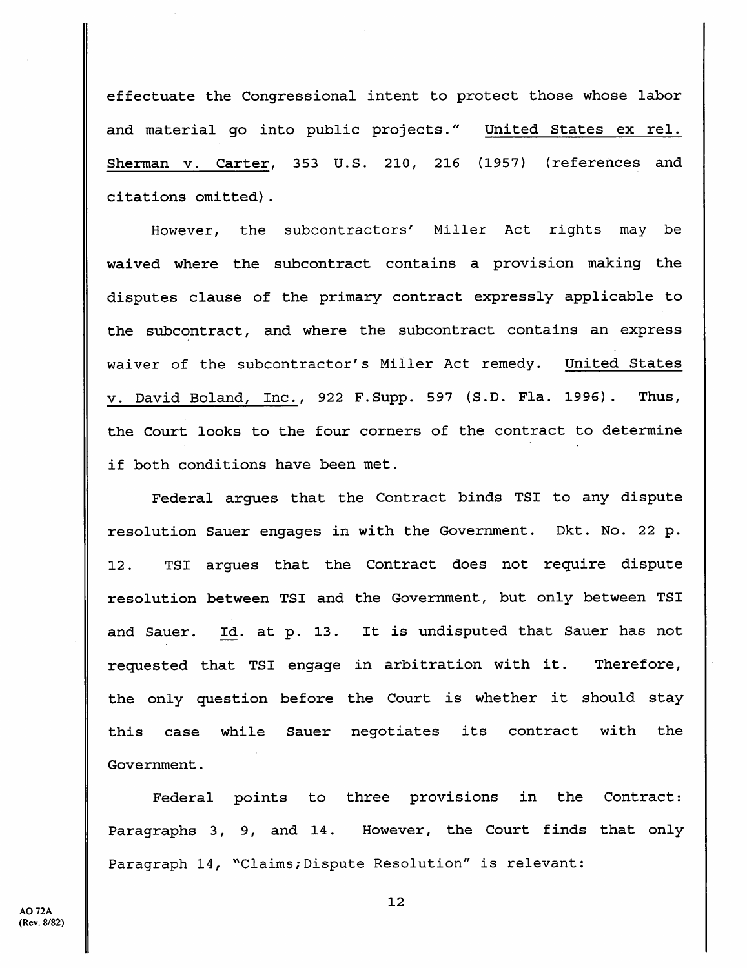effectuate the Congressional intent to protect those whose labor and material go into public projects." United States ex rel. Sherman v. Carter, 353 U.S. 210, 216 (1957) (references and citations omitted).

However, the subcontractors' Miller Act rights may be waived where the subcontract contains a provision making the disputes clause of the primary contract expressly applicable to the subcontract, and where the subcontract contains an express waiver of the subcontractor's Miller Act remedy. United States V. David Boland, Inc., 922 F.Supp. 597 (S.D. Fla. 1996) . Thus, the Court looks to the four corners of the contract to determine if both conditions have been met.

Federal argues that the Contract binds TSI to any dispute resolution Sauer engages in with the Government. Dkt. No. 22 p. 12. TSI argues that the Contract does not require dispute resolution between TSI and the Government, but only between TSI and Sauer. Id. at p. 13. It is undisputed that Sauer has not requested that TSI engage in arbitration with it. Therefore, the only question before the Court is whether it should stay this case while Sauer negotiates its contract with the Government.

Federal points to three provisions in the Contract: Paragraphs 3, 9, and 14. However, the Court finds that only Paragraph 14, "Claims; Dispute Resolution" is relevant:

**AO 72A** (Rev. 8/82)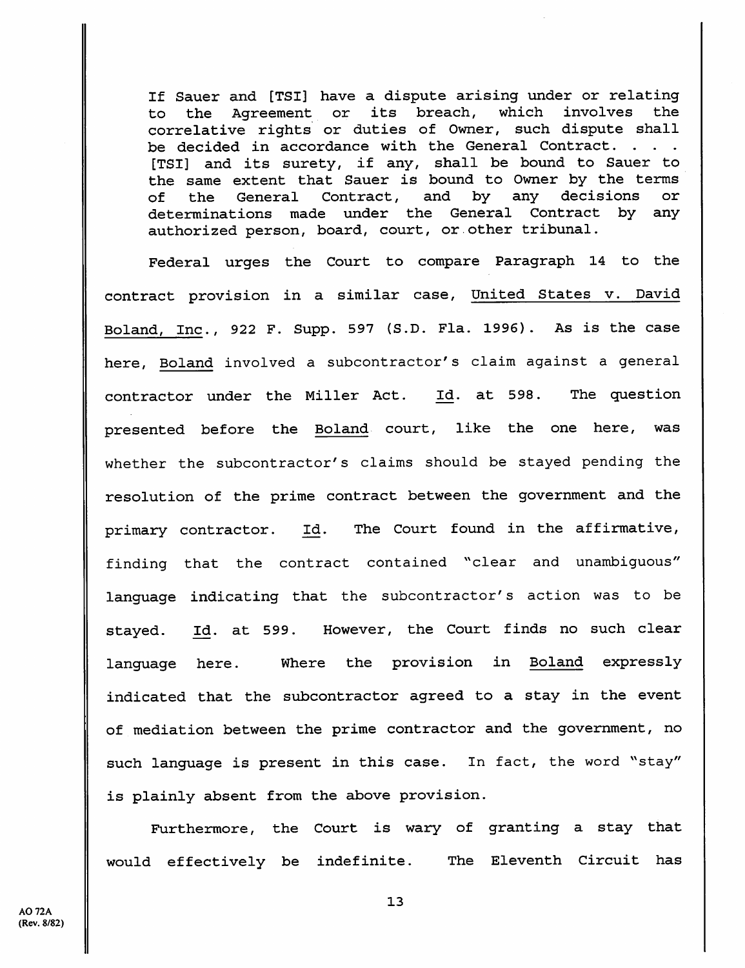If Sauer and [TSI] have a dispute arising under or relating to the Agreement or its breach, which involves the correlative rights or duties of Owner, such dispute shall be decided in accordance with the General Contract. . . . [TSI] and its surety, if any, shall be bound to Sauer to the same extent that Sauer is bound to Owner by the terms of the General Contract, and by any decisions or determinations made under the General Contract by any authorized person, board, court, or other tribunal.

Federal urges the Court to compare Paragraph 14 to the contract provision in a similar case. United States v. David Boland, Inc., 922 F. Supp. 597 (S.D. Fla. 1996). As is the case here, Boland involved a subcontractor's claim against a general contractor under the Miller Act. Id. at 598. The question presented before the Boland court, like the one here, was whether the subcontractor's claims should be stayed pending the resolution of the prime contract between the government and the primary contractor. Id. The Court found in the affirmative, finding that the contract contained "clear and unambiguous" language indicating that the subcontractor's action was to be stayed. at 599. However, the Court finds no such clear language here. Where the provision in Boland expressly indicated that the subcontractor agreed to a stay in the event of mediation between the prime contractor and the government, no such language is present in this case. In fact, the word "stay" is plainly absent from the above provision.

Furthermore, the Court is wary of granting a stay that would effectively be indefinite. The Eleventh Circuit has